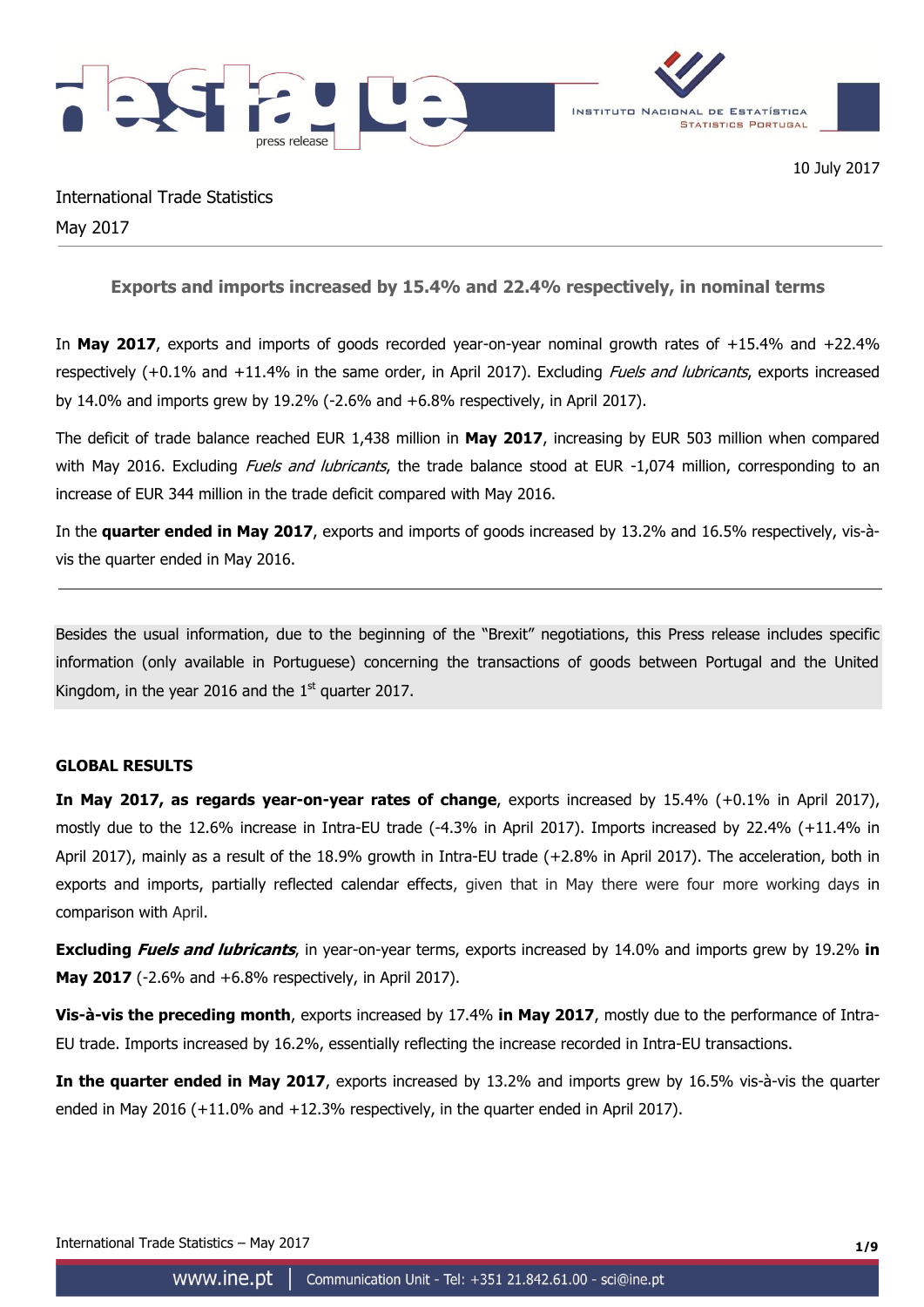

International Trade Statistics May 2017

**Exports and imports increased by 15.4% and 22.4% respectively, in nominal terms**

In **May 2017**, exports and imports of goods recorded year-on-year nominal growth rates of +15.4% and +22.4% respectively  $(+0.1\%$  and  $+11.4\%$  in the same order, in April 2017). Excluding *Fuels and lubricants*, exports increased by 14.0% and imports grew by 19.2% (-2.6% and +6.8% respectively, in April 2017).

The deficit of trade balance reached EUR 1,438 million in **May 2017**, increasing by EUR 503 million when compared with May 2016. Excluding *Fuels and lubricants*, the trade balance stood at EUR -1,074 million, corresponding to an increase of EUR 344 million in the trade deficit compared with May 2016.

In the **quarter ended in May 2017**, exports and imports of goods increased by 13.2% and 16.5% respectively, vis-àvis the quarter ended in May 2016.

Besides the usual information, due to the beginning of the "Brexit" negotiations, this Press release includes specific information (only available in Portuguese) concerning the transactions of goods between Portugal and the United Kingdom, in the year 2016 and the  $1<sup>st</sup>$  quarter 2017.

# **GLOBAL RESULTS**

**In May 2017, as regards year-on-year rates of change**, exports increased by 15.4% (+0.1% in April 2017), mostly due to the 12.6% increase in Intra-EU trade (-4.3% in April 2017). Imports increased by 22.4% (+11.4% in April 2017), mainly as a result of the 18.9% growth in Intra-EU trade (+2.8% in April 2017). The acceleration, both in exports and imports, partially reflected calendar effects, given that in May there were four more working days in comparison with April.

**Excluding Fuels and lubricants**, in year-on-year terms, exports increased by 14.0% and imports grew by 19.2% **in May 2017** (-2.6% and +6.8% respectively, in April 2017).

**Vis-à-vis the preceding month**, exports increased by 17.4% **in May 2017**, mostly due to the performance of Intra-EU trade. Imports increased by 16.2%, essentially reflecting the increase recorded in Intra-EU transactions.

**In the quarter ended in May 2017**, exports increased by 13.2% and imports grew by 16.5% vis-à-vis the quarter ended in May 2016 (+11.0% and +12.3% respectively, in the quarter ended in April 2017).

International Trade Statistics – May 2017 **1/9**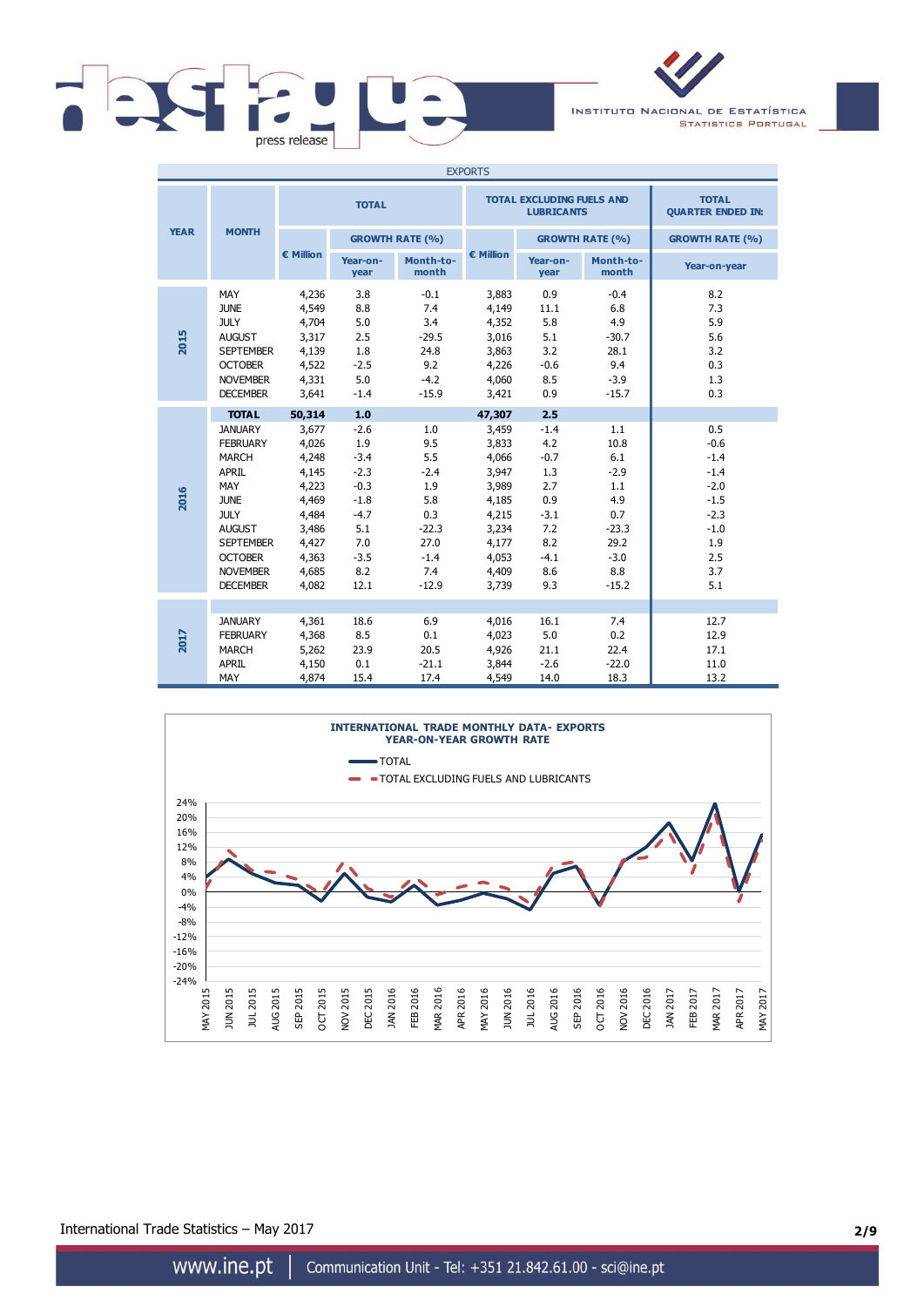

INSTITUTO NACIONAL DE ESTATÍSTICA **STATISTICS PORTUGAL** 

|             |                                                                                                                                                                                                                     |                                                                                                                    |                                                                                                               |                                                                                                 | <b>EXPORTS</b>                                                                                                     |                                                                                                     |                                                                                                  |                                                                                                       |
|-------------|---------------------------------------------------------------------------------------------------------------------------------------------------------------------------------------------------------------------|--------------------------------------------------------------------------------------------------------------------|---------------------------------------------------------------------------------------------------------------|-------------------------------------------------------------------------------------------------|--------------------------------------------------------------------------------------------------------------------|-----------------------------------------------------------------------------------------------------|--------------------------------------------------------------------------------------------------|-------------------------------------------------------------------------------------------------------|
|             |                                                                                                                                                                                                                     |                                                                                                                    | <b>TOTAL</b>                                                                                                  |                                                                                                 |                                                                                                                    | <b>TOTAL EXCLUDING FUELS AND</b><br><b>LUBRICANTS</b>                                               |                                                                                                  | <b>TOTAL</b><br><b>QUARTER ENDED IN:</b>                                                              |
| <b>YEAR</b> | <b>MONTH</b>                                                                                                                                                                                                        |                                                                                                                    |                                                                                                               | <b>GROWTH RATE (%)</b>                                                                          |                                                                                                                    |                                                                                                     | <b>GROWTH RATE (%)</b>                                                                           | <b>GROWTH RATE (%)</b>                                                                                |
|             |                                                                                                                                                                                                                     | € Million                                                                                                          | Year-on-<br>year                                                                                              | Month-to-<br>month                                                                              | € Million                                                                                                          | Year-on-<br>year                                                                                    | Month-to-<br>month                                                                               | Year-on-year                                                                                          |
| 2015        | MAY<br><b>JUNE</b><br><b>JULY</b><br><b>AUGUST</b><br><b>SEPTEMBER</b><br><b>OCTOBER</b><br><b>NOVEMBER</b><br><b>DECEMBER</b>                                                                                      | 4,236<br>4,549<br>4,704<br>3,317<br>4,139<br>4,522<br>4,331<br>3,641                                               | 3.8<br>8.8<br>5.0<br>2.5<br>1.8<br>$-2.5$<br>5.0<br>$-1.4$                                                    | $-0.1$<br>7.4<br>3.4<br>$-29.5$<br>24.8<br>9.2<br>$-4.2$<br>$-15.9$                             | 3,883<br>4,149<br>4,352<br>3,016<br>3,863<br>4,226<br>4,060<br>3,421                                               | 0.9<br>11.1<br>5.8<br>5.1<br>3.2<br>$-0.6$<br>8.5<br>0.9                                            | $-0.4$<br>6.8<br>4.9<br>$-30.7$<br>28.1<br>9.4<br>$-3.9$<br>$-15.7$                              | 8.2<br>7.3<br>5.9<br>5.6<br>3.2<br>0.3<br>1.3<br>0.3                                                  |
| 2016        | <b>TOTAL</b><br><b>JANUARY</b><br><b>FEBRUARY</b><br><b>MARCH</b><br><b>APRIL</b><br>MAY<br><b>JUNE</b><br><b>JULY</b><br><b>AUGUST</b><br><b>SEPTEMBER</b><br><b>OCTOBER</b><br><b>NOVEMBER</b><br><b>DECEMBER</b> | 50,314<br>3.677<br>4,026<br>4,248<br>4,145<br>4,223<br>4,469<br>4,484<br>3,486<br>4,427<br>4,363<br>4,685<br>4,082 | 1.0<br>$-2.6$<br>1.9<br>$-3.4$<br>$-2.3$<br>$-0.3$<br>$-1.8$<br>$-4.7$<br>5.1<br>7.0<br>$-3.5$<br>8.2<br>12.1 | 1.0<br>9.5<br>5.5<br>$-2.4$<br>1.9<br>5.8<br>0.3<br>$-22.3$<br>27.0<br>$-1.4$<br>7.4<br>$-12.9$ | 47,307<br>3,459<br>3,833<br>4,066<br>3,947<br>3,989<br>4,185<br>4,215<br>3,234<br>4,177<br>4,053<br>4,409<br>3,739 | 2.5<br>$-1.4$<br>4.2<br>$-0.7$<br>1.3<br>2.7<br>0.9<br>$-3.1$<br>7.2<br>8.2<br>$-4.1$<br>8.6<br>9.3 | 1.1<br>10.8<br>6.1<br>$-2.9$<br>1.1<br>4.9<br>0.7<br>$-23.3$<br>29.2<br>$-3.0$<br>8.8<br>$-15.2$ | 0.5<br>$-0.6$<br>$-1.4$<br>$-1.4$<br>$-2.0$<br>$-1.5$<br>$-2.3$<br>$-1.0$<br>1.9<br>2.5<br>3.7<br>5.1 |
| 2017        | <b>JANUARY</b><br><b>FEBRUARY</b><br><b>MARCH</b><br><b>APRIL</b><br>MAY                                                                                                                                            | 4,361<br>4,368<br>5,262<br>4,150<br>4,874                                                                          | 18.6<br>8.5<br>23.9<br>0.1<br>15.4                                                                            | 6.9<br>0.1<br>20.5<br>$-21.1$<br>17.4                                                           | 4,016<br>4,023<br>4,926<br>3,844<br>4,549                                                                          | 16.1<br>5.0<br>21.1<br>$-2.6$<br>14.0                                                               | 7.4<br>0.2<br>22.4<br>$-22.0$<br>18.3                                                            | 12.7<br>12.9<br>17.1<br>11.0<br>13.2                                                                  |



International Trade Statistics – May 2017 **2/9**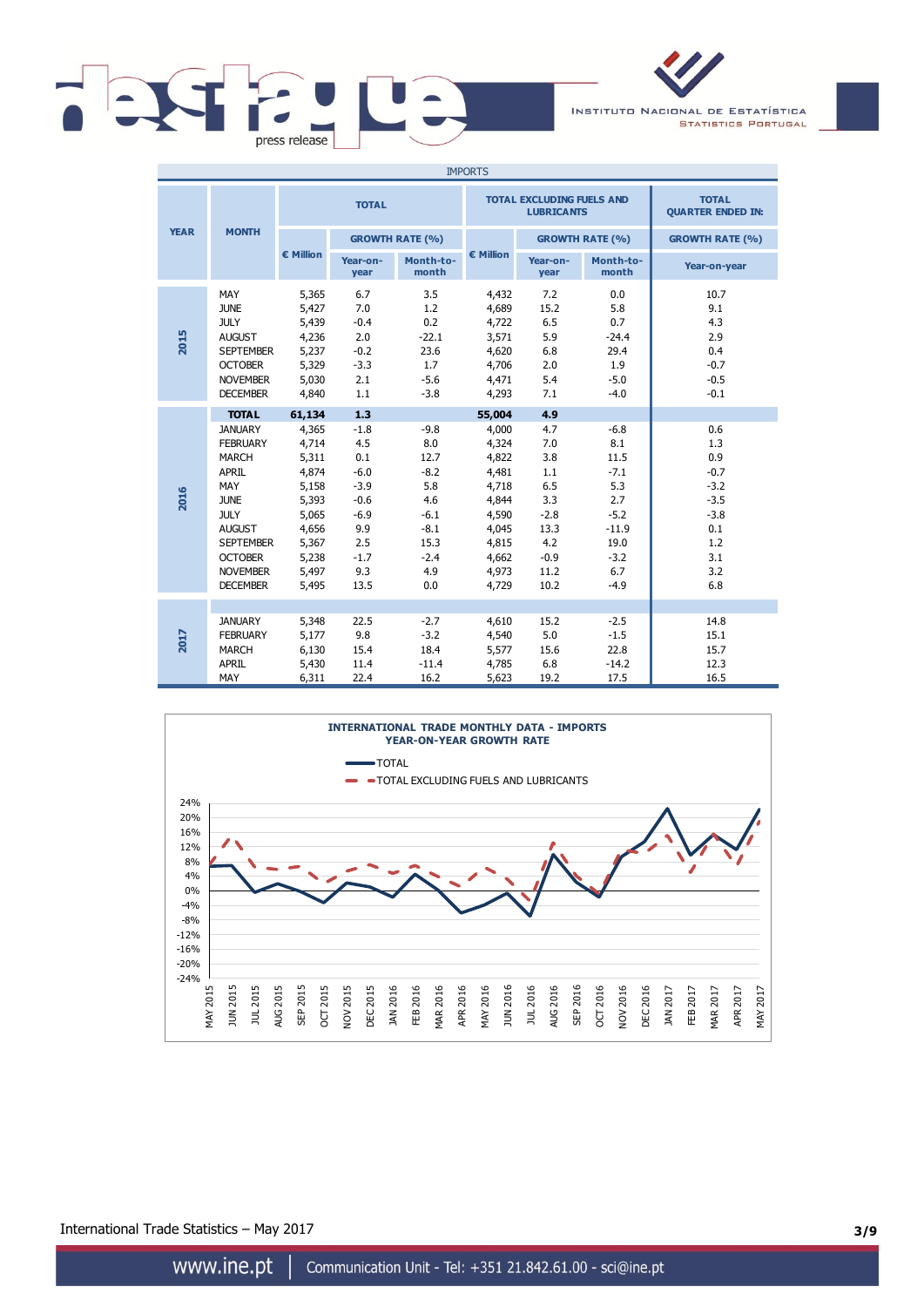

INSTITUTO NACIONAL DE ESTATÍSTICA **STATISTICS PORTUGAL** 

|             |                                                                                                                                                                                                                     |                                                                                                                    |                                                                                                            |                                                                                                   | <b>IMPORTS</b>                                                                                                     |                                                                                                  |                                                                                                       |                                                                                              |
|-------------|---------------------------------------------------------------------------------------------------------------------------------------------------------------------------------------------------------------------|--------------------------------------------------------------------------------------------------------------------|------------------------------------------------------------------------------------------------------------|---------------------------------------------------------------------------------------------------|--------------------------------------------------------------------------------------------------------------------|--------------------------------------------------------------------------------------------------|-------------------------------------------------------------------------------------------------------|----------------------------------------------------------------------------------------------|
|             |                                                                                                                                                                                                                     |                                                                                                                    | <b>TOTAL</b>                                                                                               |                                                                                                   |                                                                                                                    | <b>TOTAL EXCLUDING FUELS AND</b><br><b>LUBRICANTS</b>                                            |                                                                                                       | <b>TOTAL</b><br><b>QUARTER ENDED IN:</b>                                                     |
| <b>YEAR</b> | <b>MONTH</b>                                                                                                                                                                                                        |                                                                                                                    |                                                                                                            | <b>GROWTH RATE (%)</b>                                                                            |                                                                                                                    |                                                                                                  | <b>GROWTH RATE (%)</b>                                                                                | <b>GROWTH RATE (%)</b>                                                                       |
|             |                                                                                                                                                                                                                     | € Million                                                                                                          | Year-on-<br>year                                                                                           | Month-to-<br>month                                                                                | € Million                                                                                                          | Year-on-<br>year                                                                                 | Month-to-<br>month                                                                                    | Year-on-year                                                                                 |
| 2015        | MAY<br><b>JUNE</b><br><b>JULY</b><br><b>AUGUST</b><br><b>SEPTEMBER</b><br><b>OCTOBER</b><br><b>NOVEMBER</b><br><b>DECEMBER</b>                                                                                      | 5,365<br>5,427<br>5,439<br>4,236<br>5,237<br>5,329<br>5,030<br>4,840                                               | 6.7<br>7.0<br>$-0.4$<br>2.0<br>$-0.2$<br>$-3.3$<br>2.1<br>1.1                                              | 3.5<br>1.2<br>0.2<br>$-22.1$<br>23.6<br>1.7<br>$-5.6$<br>$-3.8$                                   | 4,432<br>4,689<br>4,722<br>3,571<br>4,620<br>4,706<br>4,471<br>4,293                                               | 7.2<br>15.2<br>6.5<br>5.9<br>6.8<br>2.0<br>5.4<br>7.1                                            | 0.0<br>5.8<br>0.7<br>$-24.4$<br>29.4<br>1.9<br>$-5.0$<br>$-4.0$                                       | 10.7<br>9.1<br>4.3<br>2.9<br>0.4<br>$-0.7$<br>$-0.5$<br>$-0.1$                               |
| 2016        | <b>TOTAL</b><br><b>JANUARY</b><br><b>FEBRUARY</b><br><b>MARCH</b><br><b>APRIL</b><br>MAY<br><b>JUNE</b><br><b>JULY</b><br><b>AUGUST</b><br><b>SEPTEMBER</b><br><b>OCTOBER</b><br><b>NOVEMBER</b><br><b>DECEMBER</b> | 61,134<br>4,365<br>4,714<br>5,311<br>4,874<br>5,158<br>5,393<br>5,065<br>4,656<br>5,367<br>5,238<br>5,497<br>5,495 | 1.3<br>$-1.8$<br>4.5<br>0.1<br>$-6.0$<br>$-3.9$<br>$-0.6$<br>$-6.9$<br>9.9<br>2.5<br>$-1.7$<br>9.3<br>13.5 | $-9.8$<br>8.0<br>12.7<br>$-8.2$<br>5.8<br>4.6<br>$-6.1$<br>$-8.1$<br>15.3<br>$-2.4$<br>4.9<br>0.0 | 55,004<br>4,000<br>4,324<br>4,822<br>4,481<br>4,718<br>4,844<br>4,590<br>4,045<br>4,815<br>4,662<br>4,973<br>4,729 | 4.9<br>4.7<br>7.0<br>3.8<br>1.1<br>6.5<br>3.3<br>$-2.8$<br>13.3<br>4.2<br>$-0.9$<br>11.2<br>10.2 | $-6.8$<br>8.1<br>11.5<br>$-7.1$<br>5.3<br>2.7<br>$-5.2$<br>$-11.9$<br>19.0<br>$-3.2$<br>6.7<br>$-4.9$ | 0.6<br>1.3<br>0.9<br>$-0.7$<br>$-3.2$<br>$-3.5$<br>$-3.8$<br>0.1<br>1.2<br>3.1<br>3.2<br>6.8 |
| 2017        | <b>JANUARY</b><br><b>FEBRUARY</b><br><b>MARCH</b><br><b>APRIL</b><br>MAY                                                                                                                                            | 5,348<br>5,177<br>6,130<br>5,430<br>6,311                                                                          | 22.5<br>9.8<br>15.4<br>11.4<br>22.4                                                                        | $-2.7$<br>$-3.2$<br>18.4<br>$-11.4$<br>16.2                                                       | 4,610<br>4,540<br>5,577<br>4,785<br>5,623                                                                          | 15.2<br>5.0<br>15.6<br>6.8<br>19.2                                                               | $-2.5$<br>$-1.5$<br>22.8<br>$-14.2$<br>17.5                                                           | 14.8<br>15.1<br>15.7<br>12.3<br>16.5                                                         |



International Trade Statistics – May 2017 **3/9**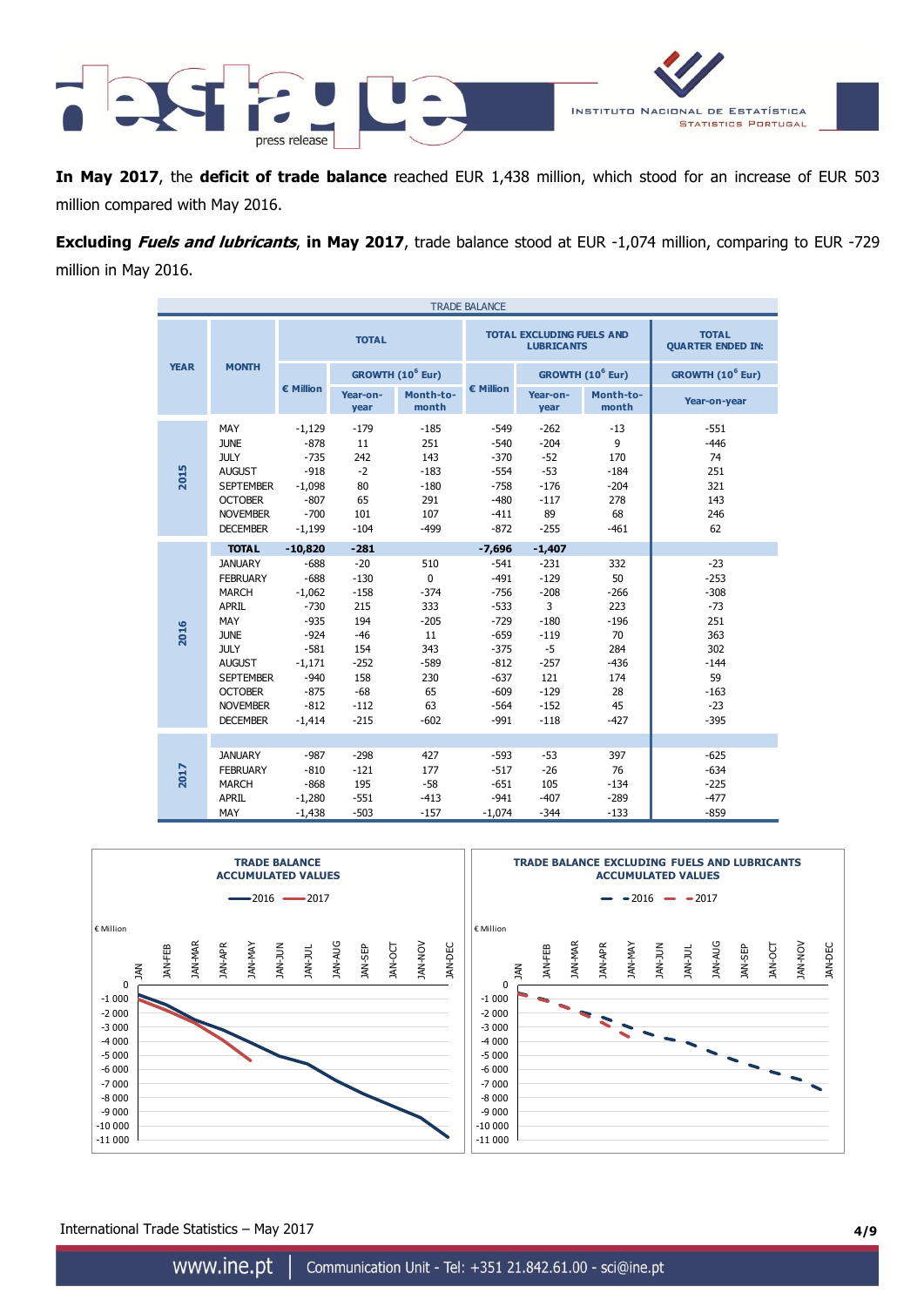

**In May 2017**, the **deficit of trade balance** reached EUR 1,438 million, which stood for an increase of EUR 503 million compared with May 2016.

**Excluding Fuels and lubricants**, **in May 2017**, trade balance stood at EUR -1,074 million, comparing to EUR -729 million in May 2016.

|             |                                                                                                                                                                                                                     |                                                                                                                                         |                                                                                                                 |                                                                                                   | <b>TRADE BALANCE</b>                                                                                                             |                                                                                                                        |                                                                                          |                                                                                                      |
|-------------|---------------------------------------------------------------------------------------------------------------------------------------------------------------------------------------------------------------------|-----------------------------------------------------------------------------------------------------------------------------------------|-----------------------------------------------------------------------------------------------------------------|---------------------------------------------------------------------------------------------------|----------------------------------------------------------------------------------------------------------------------------------|------------------------------------------------------------------------------------------------------------------------|------------------------------------------------------------------------------------------|------------------------------------------------------------------------------------------------------|
|             |                                                                                                                                                                                                                     |                                                                                                                                         | <b>TOTAL</b>                                                                                                    |                                                                                                   |                                                                                                                                  | <b>TOTAL EXCLUDING FUELS AND</b><br><b>LUBRICANTS</b>                                                                  |                                                                                          | <b>TOTAL</b><br><b>QUARTER ENDED IN:</b>                                                             |
| <b>YEAR</b> | <b>MONTH</b>                                                                                                                                                                                                        |                                                                                                                                         |                                                                                                                 | GROWTH (10 <sup>6</sup> Eur)                                                                      |                                                                                                                                  |                                                                                                                        | GROWTH (10 <sup>6</sup> Eur)                                                             | GROWTH (10 <sup>6</sup> Eur)                                                                         |
|             |                                                                                                                                                                                                                     | € Million                                                                                                                               | Year-on-<br>year                                                                                                | Month-to-<br>month                                                                                | € Million                                                                                                                        | Year-on-<br>year                                                                                                       | Month-to-<br>month                                                                       | Year-on-year                                                                                         |
| 2015        | MAY<br><b>JUNE</b><br><b>JULY</b><br><b>AUGUST</b><br><b>SEPTEMBER</b><br><b>OCTOBER</b><br><b>NOVEMBER</b><br><b>DECEMBER</b>                                                                                      | $-1,129$<br>$-878$<br>$-735$<br>$-918$<br>$-1,098$<br>$-807$<br>$-700$<br>$-1,199$                                                      | $-179$<br>11<br>242<br>$-2$<br>80<br>65<br>101<br>$-104$                                                        | $-185$<br>251<br>143<br>$-183$<br>$-180$<br>291<br>107<br>$-499$                                  | $-549$<br>$-540$<br>$-370$<br>$-554$<br>$-758$<br>$-480$<br>$-411$<br>$-872$                                                     | $-262$<br>$-204$<br>$-52$<br>$-53$<br>$-176$<br>$-117$<br>89<br>$-255$                                                 | $-13$<br>9<br>170<br>$-184$<br>$-204$<br>278<br>68<br>$-461$                             | $-551$<br>$-446$<br>74<br>251<br>321<br>143<br>246<br>62                                             |
| 2016        | <b>TOTAL</b><br><b>JANUARY</b><br><b>FEBRUARY</b><br><b>MARCH</b><br><b>APRIL</b><br>MAY<br><b>JUNE</b><br><b>JULY</b><br><b>AUGUST</b><br><b>SEPTEMBER</b><br><b>OCTOBER</b><br><b>NOVEMBER</b><br><b>DECEMBER</b> | $-10,820$<br>$-688$<br>$-688$<br>$-1,062$<br>$-730$<br>$-935$<br>$-924$<br>$-581$<br>$-1,171$<br>$-940$<br>$-875$<br>$-812$<br>$-1,414$ | $-281$<br>$-20$<br>$-130$<br>$-158$<br>215<br>194<br>$-46$<br>154<br>$-252$<br>158<br>$-68$<br>$-112$<br>$-215$ | 510<br>$\mathbf 0$<br>$-374$<br>333<br>$-205$<br>11<br>343<br>$-589$<br>230<br>65<br>63<br>$-602$ | $-7,696$<br>$-541$<br>$-491$<br>$-756$<br>$-533$<br>$-729$<br>$-659$<br>$-375$<br>$-812$<br>$-637$<br>$-609$<br>$-564$<br>$-991$ | $-1,407$<br>$-231$<br>$-129$<br>$-208$<br>3<br>$-180$<br>$-119$<br>$-5$<br>$-257$<br>121<br>$-129$<br>$-152$<br>$-118$ | 332<br>50<br>$-266$<br>223<br>$-196$<br>70<br>284<br>$-436$<br>174<br>28<br>45<br>$-427$ | $-23$<br>$-253$<br>$-308$<br>$-73$<br>251<br>363<br>302<br>$-144$<br>59<br>$-163$<br>$-23$<br>$-395$ |
| 2017        | <b>JANUARY</b><br><b>FEBRUARY</b><br><b>MARCH</b><br><b>APRIL</b><br>MAY                                                                                                                                            | $-987$<br>$-810$<br>$-868$<br>$-1,280$<br>$-1,438$                                                                                      | $-298$<br>$-121$<br>195<br>$-551$<br>$-503$                                                                     | 427<br>177<br>$-58$<br>$-413$<br>$-157$                                                           | $-593$<br>$-517$<br>$-651$<br>$-941$<br>$-1,074$                                                                                 | $-53$<br>$-26$<br>105<br>$-407$<br>$-344$                                                                              | 397<br>76<br>$-134$<br>$-289$<br>$-133$                                                  | $-625$<br>$-634$<br>$-225$<br>$-477$<br>$-859$                                                       |



International Trade Statistics – May 2017 **4/9**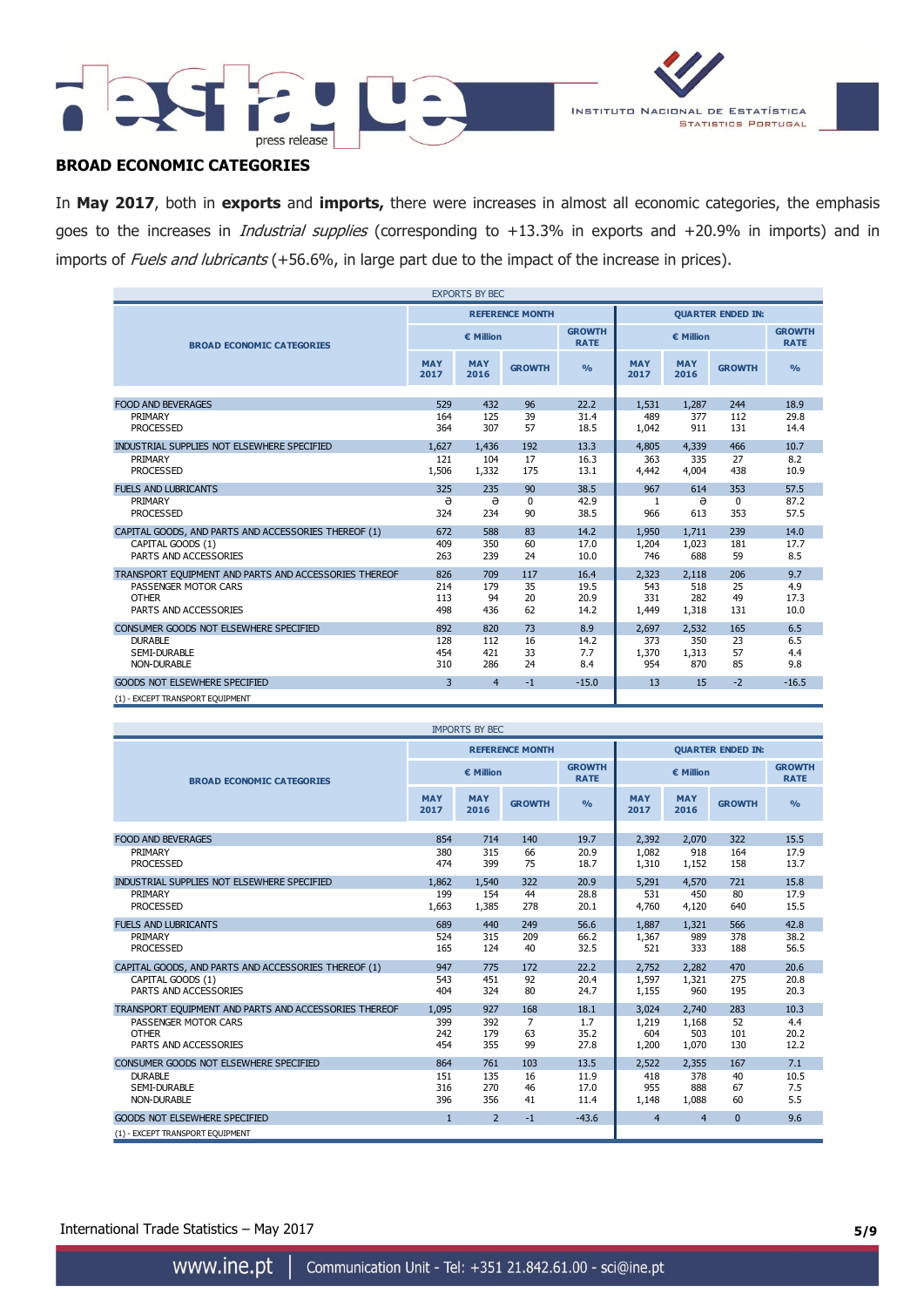



# **BROAD ECONOMIC CATEGORIES**

In **May 2017**, both in **exports** and **imports,** there were increases in almost all economic categories, the emphasis goes to the increases in *Industrial supplies* (corresponding to +13.3% in exports and +20.9% in imports) and in imports of Fuels and lubricants (+56.6%, in large part due to the impact of the increase in prices).

|                                                                                                                        |                          | <b>EXPORTS BY BEC</b>    |                        |                              |                              |                              |                        |                            |  |  |
|------------------------------------------------------------------------------------------------------------------------|--------------------------|--------------------------|------------------------|------------------------------|------------------------------|------------------------------|------------------------|----------------------------|--|--|
|                                                                                                                        |                          |                          | <b>REFERENCE MONTH</b> |                              | <b>OUARTER ENDED IN:</b>     |                              |                        |                            |  |  |
| <b>BROAD ECONOMIC CATEGORIES</b>                                                                                       |                          | € Million                |                        | <b>GROWTH</b><br><b>RATE</b> |                              | <b>GROWTH</b><br><b>RATE</b> |                        |                            |  |  |
|                                                                                                                        | <b>MAY</b><br>2017       | <b>MAY</b><br>2016       | <b>GROWTH</b>          | O <sub>0</sub>               | <b>MAY</b><br>2017           | <b>MAY</b><br>2016           | <b>GROWTH</b>          | O/2                        |  |  |
| <b>FOOD AND BEVERAGES</b>                                                                                              | 529                      | 432                      | 96                     | 22.2                         | 1,531                        | 1,287                        | 244                    | 18.9                       |  |  |
| PRIMARY<br><b>PROCESSED</b>                                                                                            | 164<br>364               | 125<br>307               | 39<br>57               | 31.4<br>18.5                 | 489<br>1,042                 | 377<br>911                   | 112<br>131             | 29.8<br>14.4               |  |  |
| INDUSTRIAL SUPPLIES NOT ELSEWHERE SPECIFIED<br>PRIMARY<br><b>PROCESSED</b>                                             | 1.627<br>121<br>1,506    | 1.436<br>104<br>1,332    | 192<br>17<br>175       | 13.3<br>16.3<br>13.1         | 4,805<br>363<br>4,442        | 4,339<br>335<br>4,004        | 466<br>27<br>438       | 10.7<br>8.2<br>10.9        |  |  |
| <b>FUELS AND LUBRICANTS</b><br>PRIMARY<br><b>PROCESSED</b>                                                             | 325<br>ə<br>324          | 235<br>$\Theta$<br>234   | 90<br>0<br>90          | 38.5<br>42.9<br>38.5         | 967<br>1<br>966              | 614<br>ə<br>613              | 353<br>$\Omega$<br>353 | 57.5<br>87.2<br>57.5       |  |  |
| CAPITAL GOODS, AND PARTS AND ACCESSORIES THEREOF (1)<br>CAPITAL GOODS (1)                                              | 672<br>409               | 588<br>350               | 83<br>60               | 14.2<br>17.0                 | 1,950<br>1,204               | 1.711<br>1,023               | 239<br>181             | 14.0<br>17.7               |  |  |
| PARTS AND ACCESSORIES                                                                                                  | 263                      | 239                      | 24                     | 10.0                         | 746                          | 688                          | 59                     | 8.5                        |  |  |
| TRANSPORT EQUIPMENT AND PARTS AND ACCESSORIES THEREOF<br>PASSENGER MOTOR CARS<br><b>OTHER</b><br>PARTS AND ACCESSORIES | 826<br>214<br>113<br>498 | 709<br>179<br>94<br>436  | 117<br>35<br>20<br>62  | 16.4<br>19.5<br>20.9<br>14.2 | 2,323<br>543<br>331<br>1,449 | 2,118<br>518<br>282<br>1,318 | 206<br>25<br>49<br>131 | 9.7<br>4.9<br>17.3<br>10.0 |  |  |
| CONSUMER GOODS NOT ELSEWHERE SPECIFIED<br><b>DURABLE</b><br><b>SEMI-DURABLE</b><br><b>NON-DURABLE</b>                  | 892<br>128<br>454<br>310 | 820<br>112<br>421<br>286 | 73<br>16<br>33<br>24   | 8.9<br>14.2<br>7.7<br>8.4    | 2,697<br>373<br>1,370<br>954 | 2,532<br>350<br>1,313<br>870 | 165<br>23<br>57<br>85  | 6.5<br>6.5<br>4.4<br>9.8   |  |  |
| <b>GOODS NOT ELSEWHERE SPECIFIED</b><br>(1) - EXCEPT TRANSPORT EQUIPMENT                                               | 3                        | $\overline{4}$           | $-1$                   | $-15.0$                      | 13                           | 15                           | $-2$                   | $-16.5$                    |  |  |

|                                                       |                    | <b>IMPORTS BY BEC</b> |                        |                              |                          |                              |               |               |  |  |
|-------------------------------------------------------|--------------------|-----------------------|------------------------|------------------------------|--------------------------|------------------------------|---------------|---------------|--|--|
|                                                       |                    |                       | <b>REFERENCE MONTH</b> |                              | <b>OUARTER ENDED IN:</b> |                              |               |               |  |  |
| <b>BROAD ECONOMIC CATEGORIES</b>                      |                    | € Million             |                        | <b>GROWTH</b><br><b>RATE</b> |                          | <b>GROWTH</b><br><b>RATE</b> |               |               |  |  |
|                                                       | <b>MAY</b><br>2017 | <b>MAY</b><br>2016    | <b>GROWTH</b>          | $\frac{0}{0}$                | <b>MAY</b><br>2017       | <b>MAY</b><br>2016           | <b>GROWTH</b> | $\frac{0}{0}$ |  |  |
| <b>FOOD AND BEVERAGES</b>                             | 854                | 714                   | 140                    | 19.7                         | 2,392                    | 2,070                        | 322           | 15.5          |  |  |
| PRIMARY                                               | 380                | 315                   | 66                     | 20.9                         | 1,082                    | 918                          | 164           | 17.9          |  |  |
| <b>PROCESSED</b>                                      | 474                | 399                   | 75                     | 18.7                         | 1,310                    | 1,152                        | 158           | 13.7          |  |  |
|                                                       |                    |                       |                        |                              |                          |                              |               |               |  |  |
| INDUSTRIAL SUPPLIES NOT ELSEWHERE SPECIFIED           | 1.862              | 1.540                 | 322                    | 20.9                         | 5,291                    | 4,570                        | 721           | 15.8          |  |  |
| PRIMARY                                               | 199                | 154                   | 44                     | 28.8                         | 531                      | 450                          | 80            | 17.9          |  |  |
| <b>PROCESSED</b>                                      | 1,663              | 1,385                 | 278                    | 20.1                         | 4,760                    | 4,120                        | 640           | 15.5          |  |  |
| <b>FUELS AND LUBRICANTS</b>                           | 689                | 440                   | 249                    | 56.6                         | 1,887                    | 1,321                        | 566           | 42.8          |  |  |
| PRIMARY                                               | 524                | 315                   | 209                    | 66.2                         | 1,367                    | 989                          | 378           | 38.2          |  |  |
| <b>PROCESSED</b>                                      | 165                | 124                   | 40                     | 32.5                         | 521                      | 333                          | 188           | 56.5          |  |  |
| CAPITAL GOODS, AND PARTS AND ACCESSORIES THEREOF (1)  | 947                | 775                   | 172                    | 22.2                         | 2,752                    | 2,282                        | 470           | 20.6          |  |  |
| CAPITAL GOODS (1)                                     | 543                | 451                   | 92                     | 20.4                         | 1,597                    | 1,321                        | 275           | 20.8          |  |  |
| PARTS AND ACCESSORIES                                 | 404                | 324                   | 80                     | 24.7                         | 1,155                    | 960                          | 195           | 20.3          |  |  |
| TRANSPORT EQUIPMENT AND PARTS AND ACCESSORIES THEREOF | 1,095              | 927                   | 168                    | 18.1                         | 3,024                    | 2,740                        | 283           | 10.3          |  |  |
| PASSENGER MOTOR CARS                                  | 399                | 392                   | $\overline{7}$         | 1.7                          | 1,219                    | 1,168                        | 52            | 4.4           |  |  |
| <b>OTHER</b>                                          | 242                | 179                   | 63                     | 35.2                         | 604                      | 503                          | 101           | 20.2          |  |  |
| PARTS AND ACCESSORIES                                 | 454                | 355                   | 99                     | 27.8                         | 1,200                    | 1,070                        | 130           | 12.2          |  |  |
| CONSUMER GOODS NOT ELSEWHERE SPECIFIED                | 864                | 761                   | 103                    | 13.5                         | 2,522                    | 2,355                        | 167           | 7.1           |  |  |
| <b>DURABLE</b>                                        | 151                | 135                   | 16                     | 11.9                         | 418                      | 378                          | 40            | 10.5          |  |  |
| <b>SEMI-DURABLE</b>                                   | 316                | 270                   | 46                     | 17.0                         | 955                      | 888                          | 67            | 7.5           |  |  |
| <b>NON-DURABLE</b>                                    | 396                | 356                   | 41                     | 11.4                         | 1,148                    | 1,088                        | 60            | 5.5           |  |  |
| <b>GOODS NOT ELSEWHERE SPECIFIED</b>                  | $\mathbf{1}$       | $\overline{2}$        | $-1$                   | $-43.6$                      | $\overline{4}$           | $\overline{4}$               | $\mathbf{0}$  | 9.6           |  |  |
| (1) - EXCEPT TRANSPORT EQUIPMENT                      |                    |                       |                        |                              |                          |                              |               |               |  |  |

International Trade Statistics – May 2017 **5/9**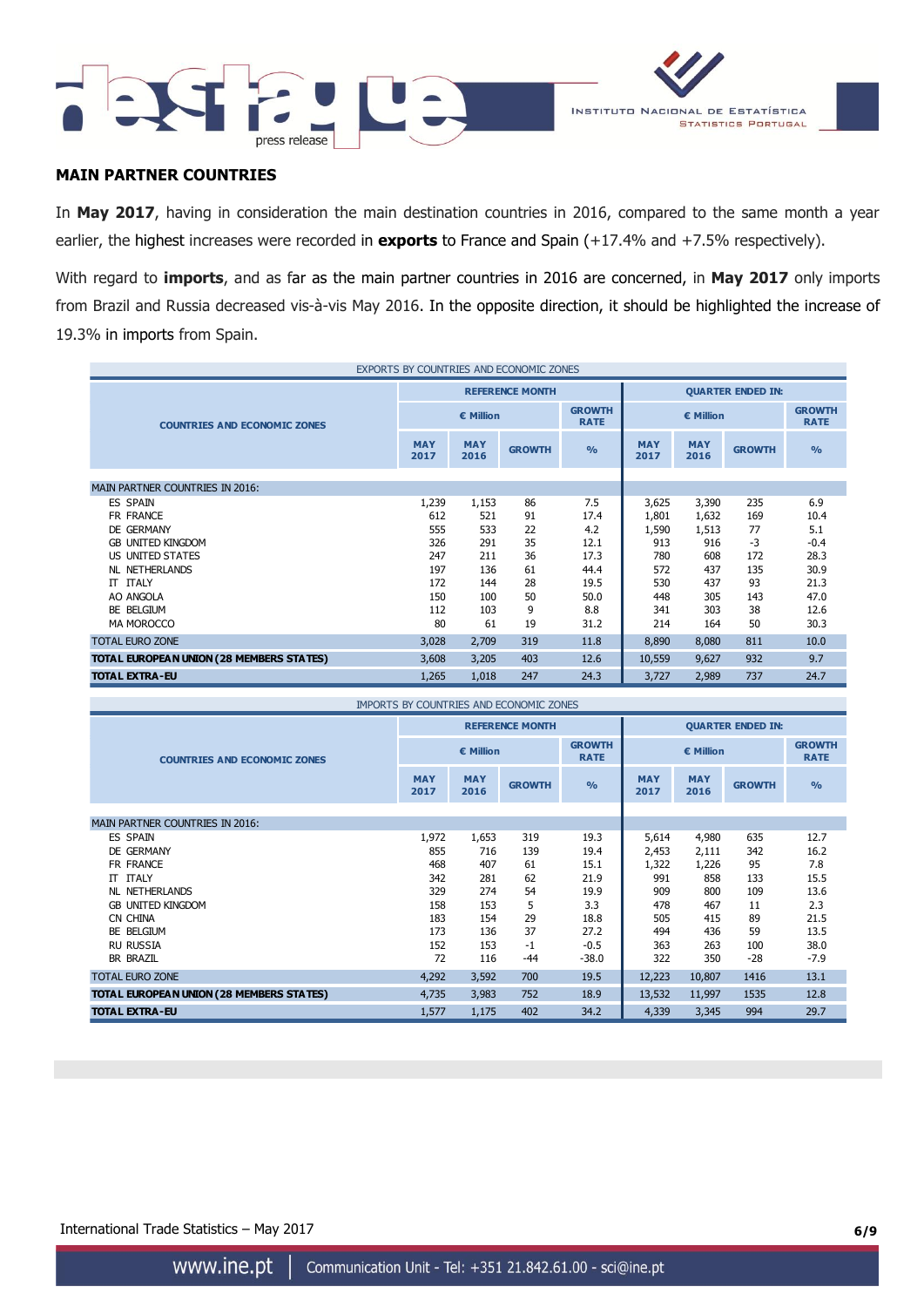



# **MAIN PARTNER COUNTRIES**

In **May 2017**, having in consideration the main destination countries in 2016, compared to the same month a year earlier, the highest increases were recorded in **exports** to France and Spain (+17.4% and +7.5% respectively).

With regard to **imports**, and as far as the main partner countries in 2016 are concerned, in **May 2017** only imports from Brazil and Russia decreased vis-à-vis May 2016. In the opposite direction, it should be highlighted the increase of 19.3% in imports from Spain.

| EXPORTS BY COUNTRIES AND ECONOMIC ZONES  |                    |                    |                        |                              |                          |                              |               |               |  |  |
|------------------------------------------|--------------------|--------------------|------------------------|------------------------------|--------------------------|------------------------------|---------------|---------------|--|--|
|                                          |                    |                    | <b>REFERENCE MONTH</b> |                              | <b>QUARTER ENDED IN:</b> |                              |               |               |  |  |
| <b>COUNTRIES AND ECONOMIC ZONES</b>      |                    | $\epsilon$ Million |                        | <b>GROWTH</b><br><b>RATE</b> |                          | <b>GROWTH</b><br><b>RATE</b> |               |               |  |  |
|                                          | <b>MAY</b><br>2017 | <b>MAY</b><br>2016 | <b>GROWTH</b>          | $\frac{0}{0}$                | <b>MAY</b><br>2017       | <b>MAY</b><br>2016           | <b>GROWTH</b> | $\frac{0}{0}$ |  |  |
|                                          |                    |                    |                        |                              |                          |                              |               |               |  |  |
| <b>MAIN PARTNER COUNTRIES IN 2016:</b>   |                    |                    |                        |                              |                          |                              |               |               |  |  |
| <b>ES SPAIN</b>                          | 1,239              | 1,153              | 86                     | 7.5                          | 3,625                    | 3,390                        | 235           | 6.9           |  |  |
| FR FRANCE                                | 612                | 521                | 91                     | 17.4                         | 1,801                    | 1,632                        | 169           | 10.4          |  |  |
| DE GERMANY                               | 555                | 533                | 22                     | 4.2                          | 1,590                    | 1,513                        | 77            | 5.1           |  |  |
| <b>GB UNITED KINGDOM</b>                 | 326                | 291                | 35                     | 12.1                         | 913                      | 916                          | $-3$          | $-0.4$        |  |  |
| US UNITED STATES                         | 247                | 211                | 36                     | 17.3                         | 780                      | 608                          | 172           | 28.3          |  |  |
| <b>NL NETHERLANDS</b>                    | 197                | 136                | 61                     | 44.4                         | 572                      | 437                          | 135           | 30.9          |  |  |
| IT ITALY                                 | 172                | 144                | 28                     | 19.5                         | 530                      | 437                          | 93            | 21.3          |  |  |
| AO ANGOLA                                | 150                | 100                | 50                     | 50.0                         | 448                      | 305                          | 143           | 47.0          |  |  |
| BE BELGIUM                               | 112                | 103                | 9                      | 8.8                          | 341                      | 303                          | 38            | 12.6          |  |  |
| <b>MA MOROCCO</b>                        | 80                 | 61                 | 19                     | 31.2                         | 214                      | 164                          | 50            | 30.3          |  |  |
| <b>TOTAL EURO ZONE</b>                   | 3,028              | 2,709              | 319                    | 11.8                         | 8,890                    | 8,080                        | 811           | 10.0          |  |  |
| TOTAL EUROPEAN UNION (28 MEMBERS STATES) | 3,608              | 3,205              | 403                    | 12.6                         | 10,559                   | 9,627                        | 932           | 9.7           |  |  |
| <b>TOTAL EXTRA-EU</b>                    | 1,265              | 1,018              | 247                    | 24.3                         | 3,727                    | 2,989                        | 737           | 24.7          |  |  |

| <b>IMPORTS BY COUNTRIES AND ECONOMIC ZONES</b> |                    |                    |                        |                              |                          |                              |               |               |  |  |
|------------------------------------------------|--------------------|--------------------|------------------------|------------------------------|--------------------------|------------------------------|---------------|---------------|--|--|
|                                                |                    |                    | <b>REFERENCE MONTH</b> |                              | <b>QUARTER ENDED IN:</b> |                              |               |               |  |  |
| <b>COUNTRIES AND ECONOMIC ZONES</b>            |                    | € Million          |                        | <b>GROWTH</b><br><b>RATE</b> |                          | <b>GROWTH</b><br><b>RATE</b> |               |               |  |  |
|                                                | <b>MAY</b><br>2017 | <b>MAY</b><br>2016 | <b>GROWTH</b>          | $\frac{9}{6}$                | <b>MAY</b><br>2017       | <b>MAY</b><br>2016           | <b>GROWTH</b> | $\frac{9}{0}$ |  |  |
| <b>MAIN PARTNER COUNTRIES IN 2016:</b>         |                    |                    |                        |                              |                          |                              |               |               |  |  |
| ES SPAIN                                       | 1,972              | 1,653              | 319                    | 19.3                         | 5,614                    | 4,980                        | 635           | 12.7          |  |  |
| DE GERMANY                                     | 855                | 716                | 139                    | 19.4                         | 2,453                    | 2,111                        | 342           | 16.2          |  |  |
| FR FRANCE                                      | 468                | 407                | 61                     | 15.1                         | 1,322                    | 1,226                        | 95            | 7.8           |  |  |
| IT ITALY                                       | 342                | 281                | 62                     | 21.9                         | 991                      | 858                          | 133           | 15.5          |  |  |
| NL NETHERLANDS                                 | 329                | 274                | 54                     | 19.9                         | 909                      | 800                          | 109           | 13.6          |  |  |
| <b>GB UNITED KINGDOM</b>                       | 158                | 153                | 5                      | 3.3                          | 478                      | 467                          | 11            | 2.3           |  |  |
| CN CHINA                                       | 183                | 154                | 29                     | 18.8                         | 505                      | 415                          | 89            | 21.5          |  |  |
| BE BELGIUM                                     | 173                | 136                | 37                     | 27.2                         | 494                      | 436                          | 59            | 13.5          |  |  |
| <b>RU RUSSIA</b>                               | 152                | 153                | $-1$                   | $-0.5$                       | 363                      | 263                          | 100           | 38.0          |  |  |
| <b>BR BRAZIL</b>                               | 72                 | 116                | $-44$                  | $-38.0$                      | 322                      | 350                          | $-28$         | $-7.9$        |  |  |
| <b>TOTAL EURO ZONE</b>                         | 4,292              | 3,592              | 700                    | 19.5                         | 12,223                   | 10,807                       | 1416          | 13.1          |  |  |
| TOTAL EUROPEAN UNION (28 MEMBERS STATES)       | 4,735              | 3,983              | 752                    | 18.9                         | 13,532                   | 11,997                       | 1535          | 12.8          |  |  |
| <b>TOTAL EXTRA-EU</b>                          | 1,577              | 1,175              | 402                    | 34.2                         | 4,339                    | 3,345                        | 994           | 29.7          |  |  |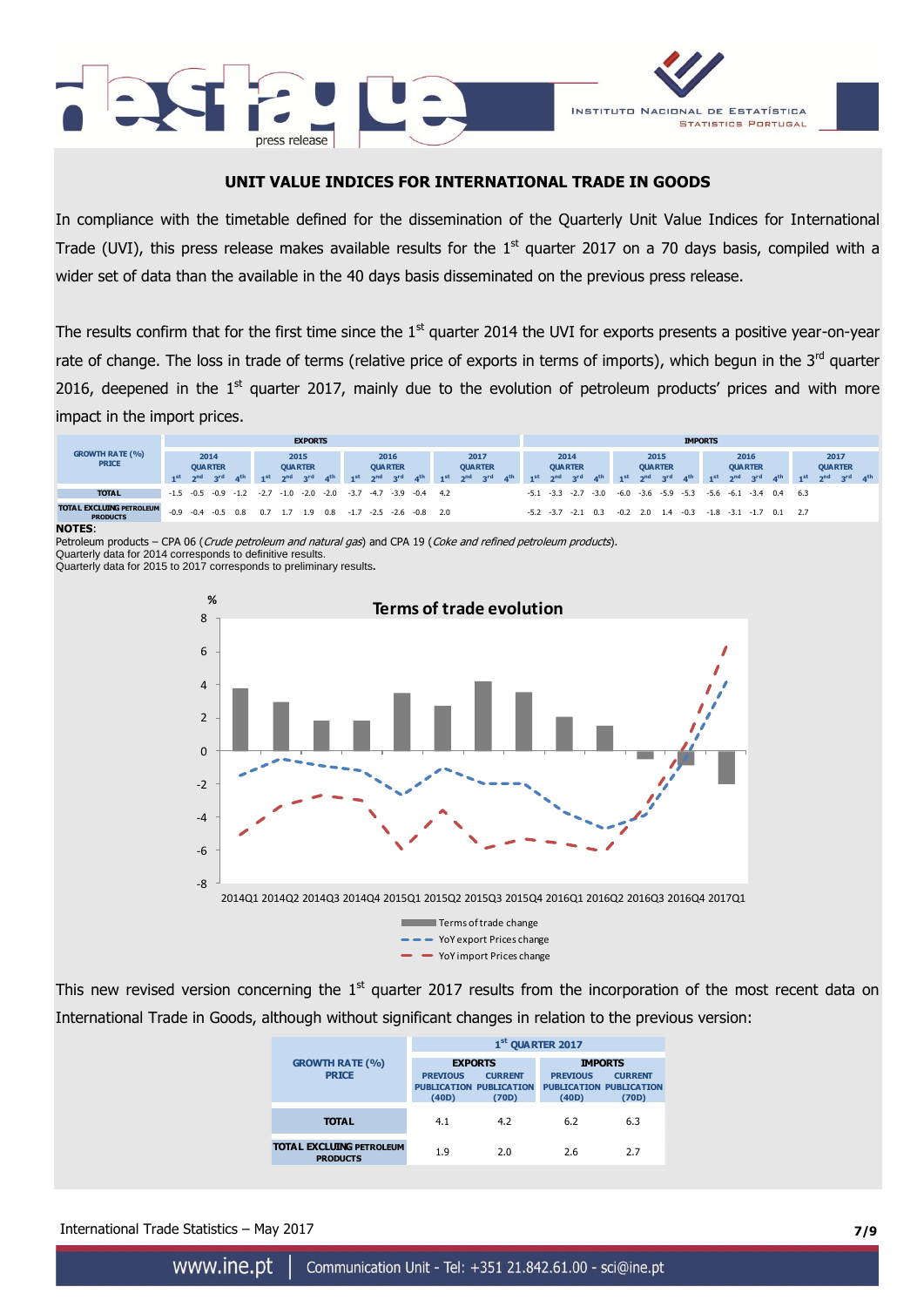



# **UNIT VALUE INDICES FOR INTERNATIONAL TRADE IN GOODS**

In compliance with the timetable defined for the dissemination of the Quarterly Unit Value Indices for International Trade (UVI), this press release makes available results for the  $1<sup>st</sup>$  quarter 2017 on a 70 days basis, compiled with a wider set of data than the available in the 40 days basis disseminated on the previous press release.

The results confirm that for the first time since the  $1<sup>st</sup>$  quarter 2014 the UVI for exports presents a positive year-on-year rate of change. The loss in trade of terms (relative price of exports in terms of imports), which begun in the 3<sup>rd</sup> quarter 2016, deepened in the  $1<sup>st</sup>$  quarter 2017, mainly due to the evolution of petroleum products' prices and with more

|                                                    | impact in the import prices. |  |                                           |                 |                       |                |                         |                 |                 |                                           |                 |                 |                 |                                           |                 |                 |                 |                 |                                           |                   |                 |                                           |                 |                 |              |                                           |                 |                 |         |                                           |                |                 |
|----------------------------------------------------|------------------------------|--|-------------------------------------------|-----------------|-----------------------|----------------|-------------------------|-----------------|-----------------|-------------------------------------------|-----------------|-----------------|-----------------|-------------------------------------------|-----------------|-----------------|-----------------|-----------------|-------------------------------------------|-------------------|-----------------|-------------------------------------------|-----------------|-----------------|--------------|-------------------------------------------|-----------------|-----------------|---------|-------------------------------------------|----------------|-----------------|
|                                                    | <b>EXPORTS</b>               |  |                                           |                 |                       |                |                         | <b>IMPORTS</b>  |                 |                                           |                 |                 |                 |                                           |                 |                 |                 |                 |                                           |                   |                 |                                           |                 |                 |              |                                           |                 |                 |         |                                           |                |                 |
| <b>GROWTH RATE (%)</b><br><b>PRICE</b>             | $1st$ $2nd$                  |  | 2014<br><b>OUARTER</b><br>3 <sup>rd</sup> | 4 <sup>th</sup> | $1st$ 2 <sup>nd</sup> | <b>OUARTER</b> | 2015<br>3 <sup>rd</sup> | 4 <sup>th</sup> | 1 <sup>st</sup> | 2016<br><b>QUARTER</b><br>2 <sup>nd</sup> | 3 <sup>rd</sup> | 4 <sup>th</sup> | 1 <sup>st</sup> | 2017<br><b>QUARTER</b><br>2 <sup>nd</sup> | 3 <sup>rd</sup> | 4 <sup>th</sup> | 1 <sup>st</sup> | 2 <sub>nd</sub> | 2014<br><b>OUARTER</b><br>3 <sup>rd</sup> | $A$ <sup>th</sup> | 1 <sup>st</sup> | 2015<br><b>QUARTER</b><br>2 <sub>nd</sub> | 3 <sup>rd</sup> | 4 <sup>th</sup> | $-1$ st      | 2016<br><b>QUARTER</b><br>2 <sub>nd</sub> | 3 <sup>rd</sup> | 4 <sup>th</sup> | $-1$ st | 2017<br><b>QUARTER</b><br>2 <sub>nd</sub> | <sub>3rd</sub> | 4 <sup>th</sup> |
| <b>TOTAL</b>                                       | $-1.5 - 0.5$                 |  | $-0.9 -1.2$                               |                 | $-2.7$                | $-1.0$         | $-2.0$                  | $-2.0$          | $-3.7$          | $-4.7$                                    | $-3.9$          | $-0.4$          | -4.2            |                                           |                 |                 | $-5.1$          | $-3.3 - 2.7$    |                                           | $-3.0$            |                 | $-6.0$ $-3.6$ $-5.9$ $-5.3$               |                 |                 | $-5.6$       | $-6.1$                                    | $-3.4$ 0.4      |                 | 6.3     |                                           |                |                 |
| <b>TOTAL EXCLUING PETROLEUM</b><br><b>PRODUCTS</b> | $-0.9$                       |  | $-0.4$ $-0.5$ 0.8                         |                 | 0.7                   |                | 1 Q                     | 0.8             | $-1.7$          | $-2.5$                                    | $-2.6$          | $-0.8$          | 2.0             |                                           |                 |                 | $-5.2$          | $-3.7$          | $-2.1$                                    | 0.3               | $-0.2$          | -2.0                                      | 1.4             | $-0.3$          | $-1.8 - 3.1$ |                                           | -1.7            |                 | 2.7     |                                           |                |                 |

**NOTES**:

Petroleum products - CPA 06 (Crude petroleum and natural gas) and CPA 19 (Coke and refined petroleum products).

Quarterly data for 2014 corresponds to definitive results.

Quarterly data for 2015 to 2017 corresponds to preliminary results**.**



This new revised version concerning the  $1<sup>st</sup>$  quarter 2017 results from the incorporation of the most recent data on International Trade in Goods, although without significant changes in relation to the previous version:

|                                                    | 1st QUARTER 2017         |                                                           |                                                            |                         |  |  |  |  |  |  |  |  |
|----------------------------------------------------|--------------------------|-----------------------------------------------------------|------------------------------------------------------------|-------------------------|--|--|--|--|--|--|--|--|
| <b>GROWTH RATE (%)</b>                             | <b>EXPORTS</b>           |                                                           | <b>IMPORTS</b>                                             |                         |  |  |  |  |  |  |  |  |
| <b>PRICE</b>                                       | <b>PREVIOUS</b><br>(40D) | <b>CURRENT</b><br><b>PUBLICATION PUBLICATION</b><br>(70D) | <b>PREVIOUS</b><br><b>PUBLICATION PUBLICATION</b><br>(40D) | <b>CURRENT</b><br>(70D) |  |  |  |  |  |  |  |  |
| <b>TOTAL</b>                                       | 4.1                      | 4.2                                                       | 6.2                                                        | 6.3                     |  |  |  |  |  |  |  |  |
| <b>TOTAL EXCLUING PETROLEUM</b><br><b>PRODUCTS</b> | 1.9                      | 2.0                                                       | 2.6                                                        | 2.7                     |  |  |  |  |  |  |  |  |

International Trade Statistics – May 2017 **7/9**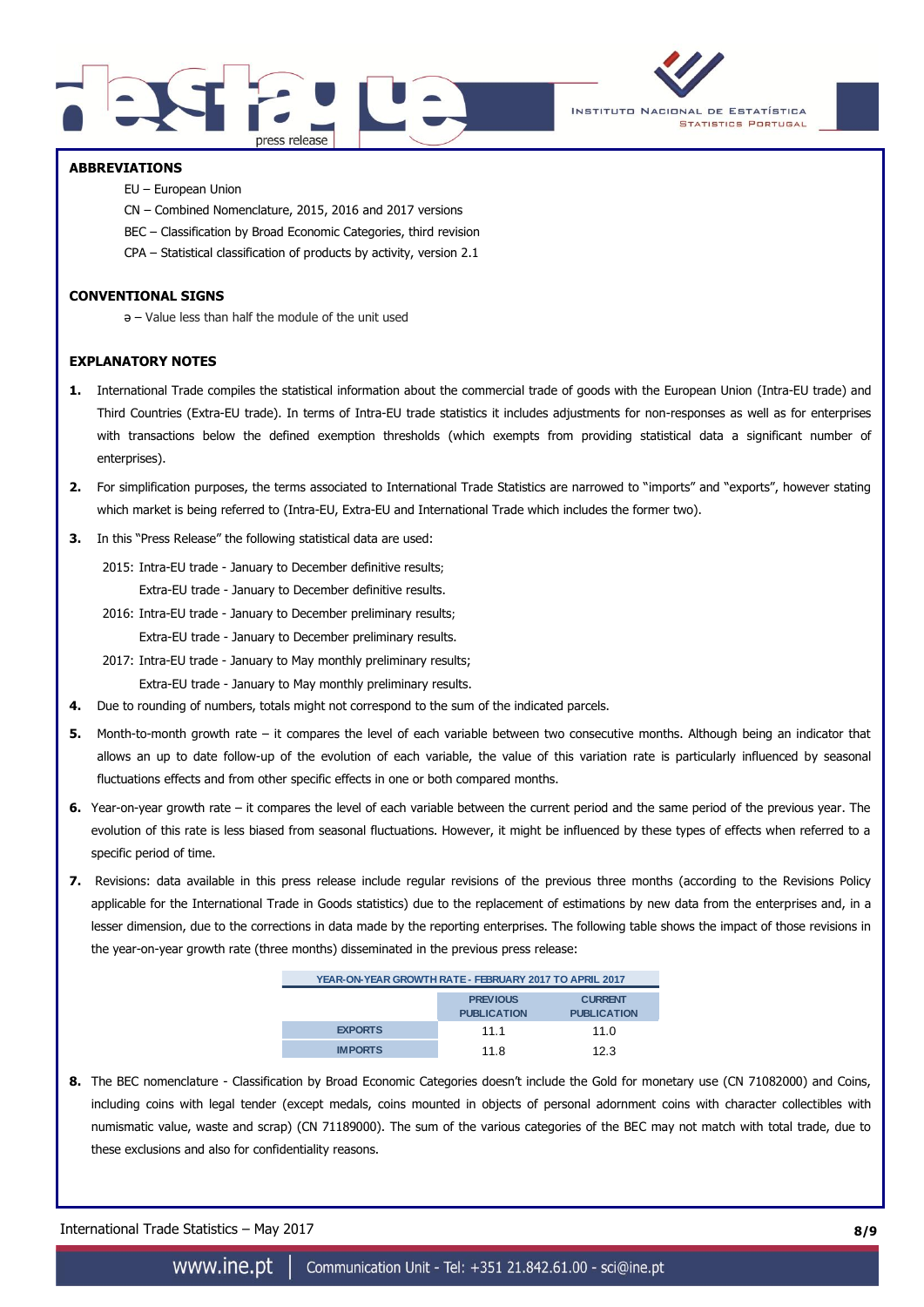



## **ABBREVIATIONS**

- EU European Union
- CN Combined Nomenclature, 2015, 2016 and 2017 versions
- BEC Classification by Broad Economic Categories, third revision
- CPA Statistical classification of products by activity, version 2.1

### **CONVENTIONAL SIGNS**

ə – Value less than half the module of the unit used

### **EXPLANATORY NOTES**

- **1.** International Trade compiles the statistical information about the commercial trade of goods with the European Union (Intra-EU trade) and Third Countries (Extra-EU trade). In terms of Intra-EU trade statistics it includes adjustments for non-responses as well as for enterprises with transactions below the defined exemption thresholds (which exempts from providing statistical data a significant number of enterprises).
- **2.** For simplification purposes, the terms associated to International Trade Statistics are narrowed to "imports" and "exports", however stating which market is being referred to (Intra-EU, Extra-EU and International Trade which includes the former two).
- **3.** In this "Press Release" the following statistical data are used:

2015: Intra-EU trade - January to December definitive results; Extra-EU trade - January to December definitive results.

2016: Intra-EU trade - January to December preliminary results;

Extra-EU trade - January to December preliminary results.

2017: Intra-EU trade - January to May monthly preliminary results;

Extra-EU trade - January to May monthly preliminary results.

- **4.** Due to rounding of numbers, totals might not correspond to the sum of the indicated parcels.
- **5.** Month-to-month growth rate it compares the level of each variable between two consecutive months. Although being an indicator that allows an up to date follow-up of the evolution of each variable, the value of this variation rate is particularly influenced by seasonal fluctuations effects and from other specific effects in one or both compared months.
- **6.** Year-on-year growth rate it compares the level of each variable between the current period and the same period of the previous year. The evolution of this rate is less biased from seasonal fluctuations. However, it might be influenced by these types of effects when referred to a specific period of time.
- **7.** Revisions: data available in this press release include regular revisions of the previous three months (according to the Revisions Policy applicable for the International Trade in Goods statistics) due to the replacement of estimations by new data from the enterprises and, in a lesser dimension, due to the corrections in data made by the reporting enterprises. The following table shows the impact of those revisions in the year-on-year growth rate (three months) disseminated in the previous press release:

| YEAR-ON-YEAR GROWTH RATE - FEBRUARY 2017 TO APRIL 2017 |                                       |                                      |  |  |  |  |  |
|--------------------------------------------------------|---------------------------------------|--------------------------------------|--|--|--|--|--|
|                                                        | <b>PREVIOUS</b><br><b>PUBLICATION</b> | <b>CURRENT</b><br><b>PUBLICATION</b> |  |  |  |  |  |
| <b>EXPORTS</b>                                         | 11.1                                  | 11.0                                 |  |  |  |  |  |
| <b>IMPORTS</b>                                         | 11 R                                  | 12.3                                 |  |  |  |  |  |

**8.** The BEC nomenclature - Classification by Broad Economic Categories doesn't include the Gold for monetary use (CN 71082000) and Coins, including coins with legal tender (except medals, coins mounted in objects of personal adornment coins with character collectibles with numismatic value, waste and scrap) (CN 71189000). The sum of the various categories of the BEC may not match with total trade, due to these exclusions and also for confidentiality reasons.

International Trade Statistics – May 2017 **8/9**